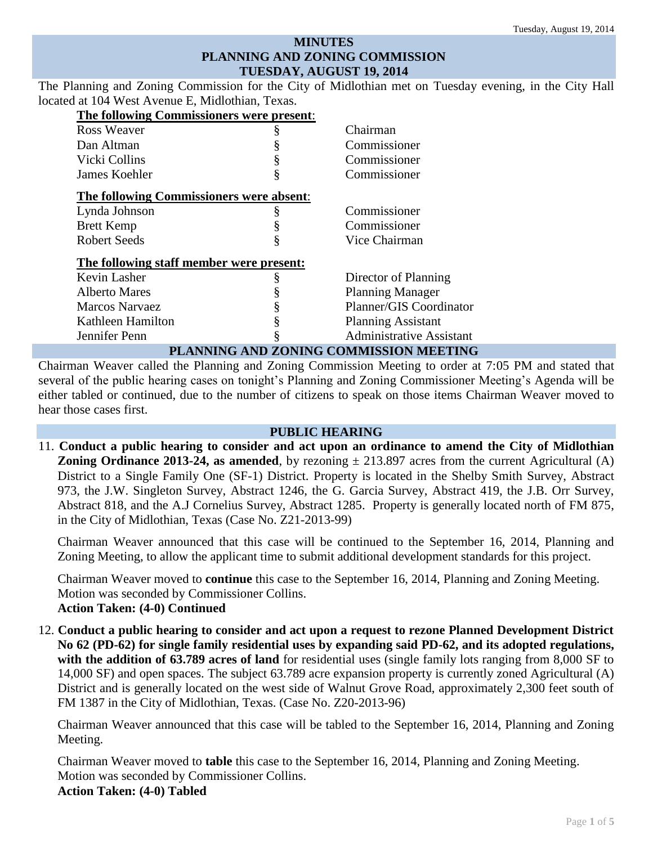## **MINUTES PLANNING AND ZONING COMMISSION TUESDAY, AUGUST 19, 2014**

The Planning and Zoning Commission for the City of Midlothian met on Tuesday evening, in the City Hall located at 104 West Avenue E, Midlothian, Texas.

| <b>The following Commissioners were present:</b> |   |                                 |  |  |
|--------------------------------------------------|---|---------------------------------|--|--|
| Ross Weaver                                      | ş | Chairman                        |  |  |
| Dan Altman                                       |   | Commissioner                    |  |  |
| Vicki Collins                                    |   | Commissioner                    |  |  |
| James Koehler                                    | § | Commissioner                    |  |  |
| The following Commissioners were absent:         |   |                                 |  |  |
| Lynda Johnson                                    |   | Commissioner                    |  |  |
| <b>Brett Kemp</b>                                |   | Commissioner                    |  |  |
| <b>Robert Seeds</b>                              | ş | Vice Chairman                   |  |  |
| The following staff member were present:         |   |                                 |  |  |
| Kevin Lasher                                     |   | Director of Planning            |  |  |
| <b>Alberto Mares</b>                             |   | <b>Planning Manager</b>         |  |  |
| <b>Marcos Narvaez</b>                            |   | Planner/GIS Coordinator         |  |  |
| Kathleen Hamilton                                | § | <b>Planning Assistant</b>       |  |  |
| Jennifer Penn                                    |   | <b>Administrative Assistant</b> |  |  |
| PLANNING AND ZONING COMMISSION MEETING           |   |                                 |  |  |

Chairman Weaver called the Planning and Zoning Commission Meeting to order at 7:05 PM and stated that several of the public hearing cases on tonight's Planning and Zoning Commissioner Meeting's Agenda will be either tabled or continued, due to the number of citizens to speak on those items Chairman Weaver moved to hear those cases first.

#### **PUBLIC HEARING**

11. **Conduct a public hearing to consider and act upon an ordinance to amend the City of Midlothian Zoning Ordinance 2013-24, as amended**, by rezoning  $\pm$  213.897 acres from the current Agricultural (A) District to a Single Family One (SF-1) District. Property is located in the Shelby Smith Survey, Abstract 973, the J.W. Singleton Survey, Abstract 1246, the G. Garcia Survey, Abstract 419, the J.B. Orr Survey, Abstract 818, and the A.J Cornelius Survey, Abstract 1285. Property is generally located north of FM 875, in the City of Midlothian, Texas (Case No. Z21-2013-99)

Chairman Weaver announced that this case will be continued to the September 16, 2014, Planning and Zoning Meeting, to allow the applicant time to submit additional development standards for this project.

Chairman Weaver moved to **continue** this case to the September 16, 2014, Planning and Zoning Meeting. Motion was seconded by Commissioner Collins. **Action Taken: (4-0) Continued**

12. **Conduct a public hearing to consider and act upon a request to rezone Planned Development District No 62 (PD-62) for single family residential uses by expanding said PD-62, and its adopted regulations, with the addition of 63.789 acres of land** for residential uses (single family lots ranging from 8,000 SF to 14,000 SF) and open spaces. The subject 63.789 acre expansion property is currently zoned Agricultural (A) District and is generally located on the west side of Walnut Grove Road, approximately 2,300 feet south of FM 1387 in the City of Midlothian, Texas. (Case No. Z20-2013-96)

Chairman Weaver announced that this case will be tabled to the September 16, 2014, Planning and Zoning Meeting.

Chairman Weaver moved to **table** this case to the September 16, 2014, Planning and Zoning Meeting. Motion was seconded by Commissioner Collins.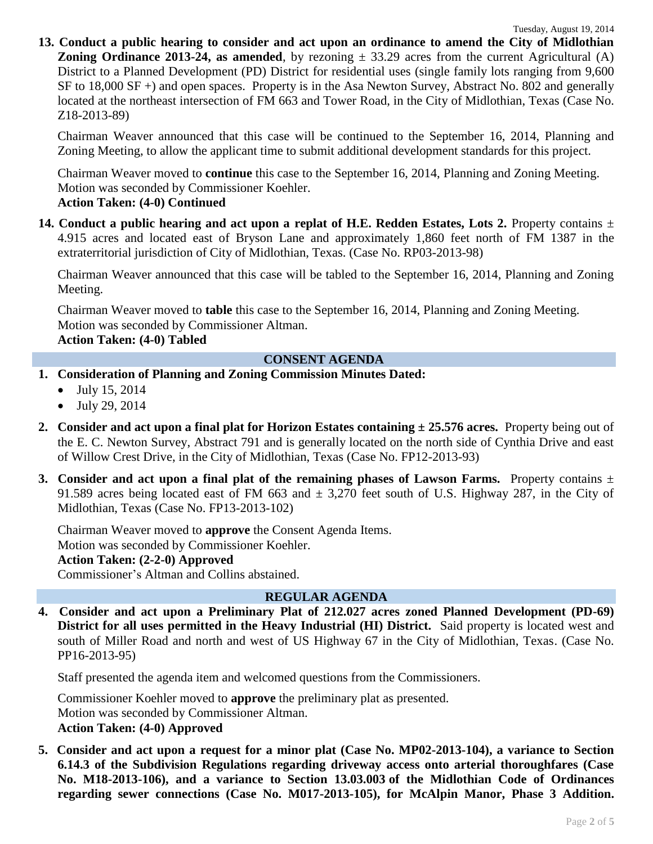**13. Conduct a public hearing to consider and act upon an ordinance to amend the City of Midlothian Zoning Ordinance 2013-24, as amended**, by rezoning  $\pm$  33.29 acres from the current Agricultural (A) District to a Planned Development (PD) District for residential uses (single family lots ranging from 9,600 SF to 18,000 SF +) and open spaces. Property is in the Asa Newton Survey, Abstract No. 802 and generally located at the northeast intersection of FM 663 and Tower Road, in the City of Midlothian, Texas (Case No. Z18-2013-89)

Chairman Weaver announced that this case will be continued to the September 16, 2014, Planning and Zoning Meeting, to allow the applicant time to submit additional development standards for this project.

Chairman Weaver moved to **continue** this case to the September 16, 2014, Planning and Zoning Meeting. Motion was seconded by Commissioner Koehler.

### **Action Taken: (4-0) Continued**

**14. Conduct a public hearing and act upon a replat of H.E. Redden Estates, Lots 2. Property contains**  $\pm$ 4.915 acres and located east of Bryson Lane and approximately 1,860 feet north of FM 1387 in the extraterritorial jurisdiction of City of Midlothian, Texas. (Case No. RP03-2013-98)

Chairman Weaver announced that this case will be tabled to the September 16, 2014, Planning and Zoning Meeting.

Chairman Weaver moved to **table** this case to the September 16, 2014, Planning and Zoning Meeting. Motion was seconded by Commissioner Altman.

 **Action Taken: (4-0) Tabled**

### **CONSENT AGENDA**

- **1. Consideration of Planning and Zoning Commission Minutes Dated:** 
	- $\bullet$  July 15, 2014
	- July 29, 2014
- **2. Consider and act upon a final plat for Horizon Estates containing ± 25.576 acres.** Property being out of the E. C. Newton Survey, Abstract 791 and is generally located on the north side of Cynthia Drive and east of Willow Crest Drive, in the City of Midlothian, Texas (Case No. FP12-2013-93)
- **3. Consider and act upon a final plat of the remaining phases of Lawson Farms.** Property contains  $\pm$ 91.589 acres being located east of FM 663 and  $\pm$  3,270 feet south of U.S. Highway 287, in the City of Midlothian, Texas (Case No. FP13-2013-102)

Chairman Weaver moved to **approve** the Consent Agenda Items. Motion was seconded by Commissioner Koehler. **Action Taken: (2-2-0) Approved** Commissioner's Altman and Collins abstained.

## **REGULAR AGENDA**

**4. Consider and act upon a Preliminary Plat of 212.027 acres zoned Planned Development (PD-69) District for all uses permitted in the Heavy Industrial (HI) District.** Said property is located west and south of Miller Road and north and west of US Highway 67 in the City of Midlothian, Texas. (Case No. PP16-2013-95)

Staff presented the agenda item and welcomed questions from the Commissioners.

Commissioner Koehler moved to **approve** the preliminary plat as presented. Motion was seconded by Commissioner Altman. **Action Taken: (4-0) Approved**

**5. Consider and act upon a request for a minor plat (Case No. MP02-2013-104), a variance to Section 6.14.3 of the Subdivision Regulations regarding driveway access onto arterial thoroughfares (Case No. M18-2013-106), and a variance to Section 13.03.003 of the Midlothian Code of Ordinances regarding sewer connections (Case No. M017-2013-105), for McAlpin Manor, Phase 3 Addition.**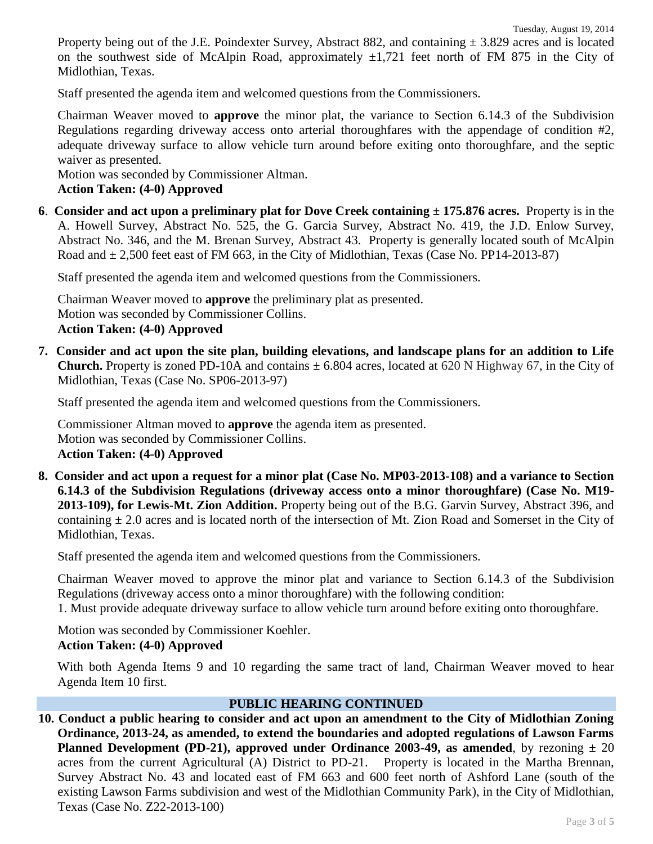Property being out of the J.E. Poindexter Survey, Abstract 882, and containing  $\pm$  3.829 acres and is located on the southwest side of McAlpin Road, approximately  $\pm 1,721$  feet north of FM 875 in the City of Midlothian, Texas.

Staff presented the agenda item and welcomed questions from the Commissioners.

Chairman Weaver moved to **approve** the minor plat, the variance to Section 6.14.3 of the Subdivision Regulations regarding driveway access onto arterial thoroughfares with the appendage of condition #2, adequate driveway surface to allow vehicle turn around before exiting onto thoroughfare, and the septic waiver as presented.

Motion was seconded by Commissioner Altman.

# **Action Taken: (4-0) Approved**

**6**. **Consider and act upon a preliminary plat for Dove Creek containing ± 175.876 acres.** Property is in the A. Howell Survey, Abstract No. 525, the G. Garcia Survey, Abstract No. 419, the J.D. Enlow Survey, Abstract No. 346, and the M. Brenan Survey, Abstract 43. Property is generally located south of McAlpin Road and  $\pm 2,500$  feet east of FM 663, in the City of Midlothian, Texas (Case No. PP14-2013-87)

Staff presented the agenda item and welcomed questions from the Commissioners.

Chairman Weaver moved to **approve** the preliminary plat as presented. Motion was seconded by Commissioner Collins. **Action Taken: (4-0) Approved**

**7. Consider and act upon the site plan, building elevations, and landscape plans for an addition to Life Church.** Property is zoned PD-10A and contains  $\pm$  6.804 acres, located at 620 N Highway 67, in the City of Midlothian, Texas (Case No. SP06-2013-97)

Staff presented the agenda item and welcomed questions from the Commissioners.

Commissioner Altman moved to **approve** the agenda item as presented. Motion was seconded by Commissioner Collins. **Action Taken: (4-0) Approved**

**8. Consider and act upon a request for a minor plat (Case No. MP03-2013-108) and a variance to Section 6.14.3 of the Subdivision Regulations (driveway access onto a minor thoroughfare) (Case No. M19- 2013-109), for Lewis-Mt. Zion Addition.** Property being out of the B.G. Garvin Survey, Abstract 396, and containing  $\pm$  2.0 acres and is located north of the intersection of Mt. Zion Road and Somerset in the City of Midlothian, Texas.

Staff presented the agenda item and welcomed questions from the Commissioners.

Chairman Weaver moved to approve the minor plat and variance to Section 6.14.3 of the Subdivision Regulations (driveway access onto a minor thoroughfare) with the following condition:

1. Must provide adequate driveway surface to allow vehicle turn around before exiting onto thoroughfare.

Motion was seconded by Commissioner Koehler. **Action Taken: (4-0) Approved**

With both Agenda Items 9 and 10 regarding the same tract of land, Chairman Weaver moved to hear Agenda Item 10 first.

#### **PUBLIC HEARING CONTINUED**

**10. Conduct a public hearing to consider and act upon an amendment to the City of Midlothian Zoning Ordinance, 2013-24, as amended, to extend the boundaries and adopted regulations of Lawson Farms Planned Development (PD-21), approved under Ordinance 2003-49, as amended**, by rezoning  $\pm 20$ acres from the current Agricultural (A) District to PD-21. Property is located in the Martha Brennan, Survey Abstract No. 43 and located east of FM 663 and 600 feet north of Ashford Lane (south of the existing Lawson Farms subdivision and west of the Midlothian Community Park), in the City of Midlothian, Texas (Case No. Z22-2013-100)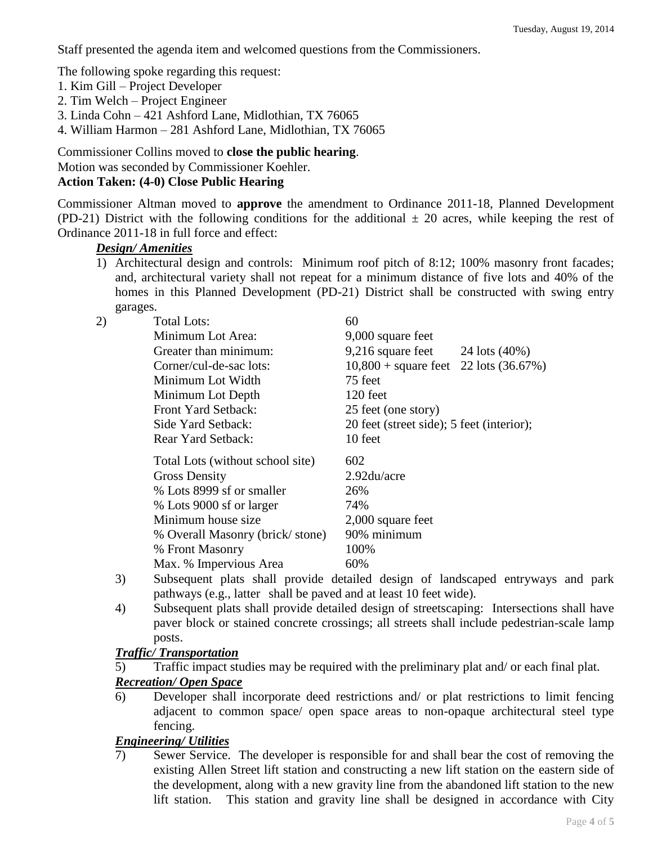Staff presented the agenda item and welcomed questions from the Commissioners.

The following spoke regarding this request:

- 1. Kim Gill Project Developer
- 2. Tim Welch Project Engineer
- 3. Linda Cohn 421 Ashford Lane, Midlothian, TX 76065
- 4. William Harmon 281 Ashford Lane, Midlothian, TX 76065

Commissioner Collins moved to **close the public hearing**.

Motion was seconded by Commissioner Koehler.

# **Action Taken: (4-0) Close Public Hearing**

Commissioner Altman moved to **approve** the amendment to Ordinance 2011-18, Planned Development (PD-21) District with the following conditions for the additional  $\pm$  20 acres, while keeping the rest of Ordinance 2011-18 in full force and effect:

### *Design/ Amenities*

1) Architectural design and controls: Minimum roof pitch of 8:12; 100% masonry front facades; and, architectural variety shall not repeat for a minimum distance of five lots and 40% of the homes in this Planned Development (PD-21) District shall be constructed with swing entry garages.

| 2) | <b>Total Lots:</b>               | 60                                         |  |
|----|----------------------------------|--------------------------------------------|--|
|    | Minimum Lot Area:                | 9,000 square feet                          |  |
|    | Greater than minimum:            | 9,216 square feet<br>24 lots (40%)         |  |
|    | Corner/cul-de-sac lots:          | $10,800 +$ square feet<br>22 lots (36.67%) |  |
|    | Minimum Lot Width                | 75 feet                                    |  |
|    | Minimum Lot Depth                | 120 feet                                   |  |
|    | Front Yard Setback:              | 25 feet (one story)                        |  |
|    | Side Yard Setback:               | 20 feet (street side); 5 feet (interior);  |  |
|    | Rear Yard Setback:               | 10 feet                                    |  |
|    | Total Lots (without school site) | 602                                        |  |
|    | <b>Gross Density</b>             | 2.92du/acre                                |  |
|    | % Lots 8999 sf or smaller        | 26%                                        |  |
|    | % Lots 9000 sf or larger         | 74%                                        |  |
|    | Minimum house size               | 2,000 square feet                          |  |
|    | % Overall Masonry (brick/stone)  | 90% minimum                                |  |
|    | % Front Masonry                  | 100%                                       |  |
|    | Max. % Impervious Area           | 60%                                        |  |
|    |                                  |                                            |  |

- 3) Subsequent plats shall provide detailed design of landscaped entryways and park pathways (e.g., latter shall be paved and at least 10 feet wide).
- 4) Subsequent plats shall provide detailed design of streetscaping: Intersections shall have paver block or stained concrete crossings; all streets shall include pedestrian-scale lamp posts.

## *Traffic/ Transportation*

5) Traffic impact studies may be required with the preliminary plat and/ or each final plat.

## *Recreation/ Open Space*

6) Developer shall incorporate deed restrictions and/ or plat restrictions to limit fencing adjacent to common space/ open space areas to non-opaque architectural steel type fencing.

## *Engineering/ Utilities*

7) Sewer Service. The developer is responsible for and shall bear the cost of removing the existing Allen Street lift station and constructing a new lift station on the eastern side of the development, along with a new gravity line from the abandoned lift station to the new lift station. This station and gravity line shall be designed in accordance with City